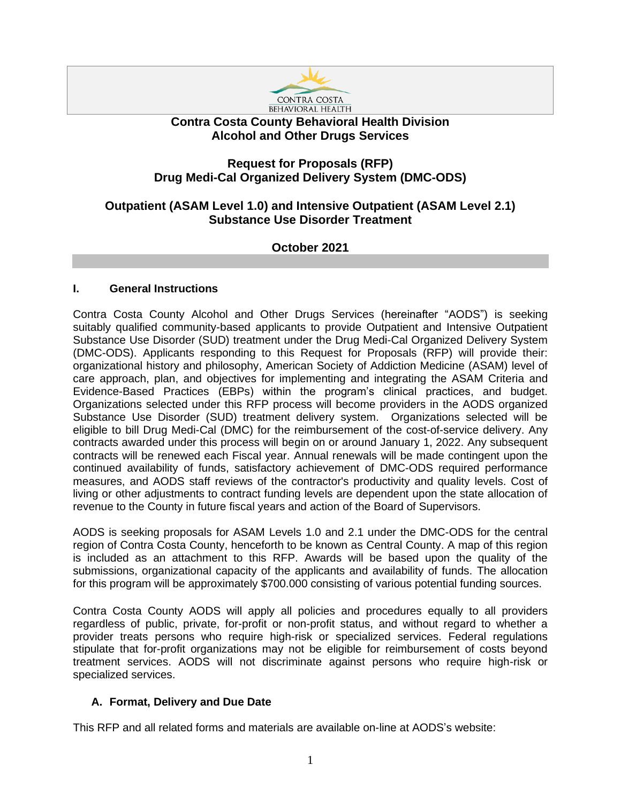

# **Contra Costa County Behavioral Health Division Alcohol and Other Drugs Services**

# **Request for Proposals (RFP) Drug Medi-Cal Organized Delivery System (DMC-ODS)**

# **Outpatient (ASAM Level 1.0) and Intensive Outpatient (ASAM Level 2.1) Substance Use Disorder Treatment**

**October 2021**

# **I. General Instructions**

Contra Costa County Alcohol and Other Drugs Services (hereinafter "AODS") is seeking suitably qualified community-based applicants to provide Outpatient and Intensive Outpatient Substance Use Disorder (SUD) treatment under the Drug Medi-Cal Organized Delivery System (DMC-ODS). Applicants responding to this Request for Proposals (RFP) will provide their: organizational history and philosophy, American Society of Addiction Medicine (ASAM) level of care approach, plan, and objectives for implementing and integrating the ASAM Criteria and Evidence-Based Practices (EBPs) within the program's clinical practices, and budget. Organizations selected under this RFP process will become providers in the AODS organized Substance Use Disorder (SUD) treatment delivery system. Organizations selected will be eligible to bill Drug Medi-Cal (DMC) for the reimbursement of the cost-of-service delivery. Any contracts awarded under this process will begin on or around January 1, 2022. Any subsequent contracts will be renewed each Fiscal year. Annual renewals will be made contingent upon the continued availability of funds, satisfactory achievement of DMC-ODS required performance measures, and AODS staff reviews of the contractor's productivity and quality levels. Cost of living or other adjustments to contract funding levels are dependent upon the state allocation of revenue to the County in future fiscal years and action of the Board of Supervisors.

AODS is seeking proposals for ASAM Levels 1.0 and 2.1 under the DMC-ODS for the central region of Contra Costa County, henceforth to be known as Central County. A map of this region is included as an attachment to this RFP. Awards will be based upon the quality of the submissions, organizational capacity of the applicants and availability of funds. The allocation for this program will be approximately \$700.000 consisting of various potential funding sources.

Contra Costa County AODS will apply all policies and procedures equally to all providers regardless of public, private, for-profit or non-profit status, and without regard to whether a provider treats persons who require high-risk or specialized services. Federal regulations stipulate that for-profit organizations may not be eligible for reimbursement of costs beyond treatment services. AODS will not discriminate against persons who require high-risk or specialized services.

# **A. Format, Delivery and Due Date**

This RFP and all related forms and materials are available on-line at AODS's website: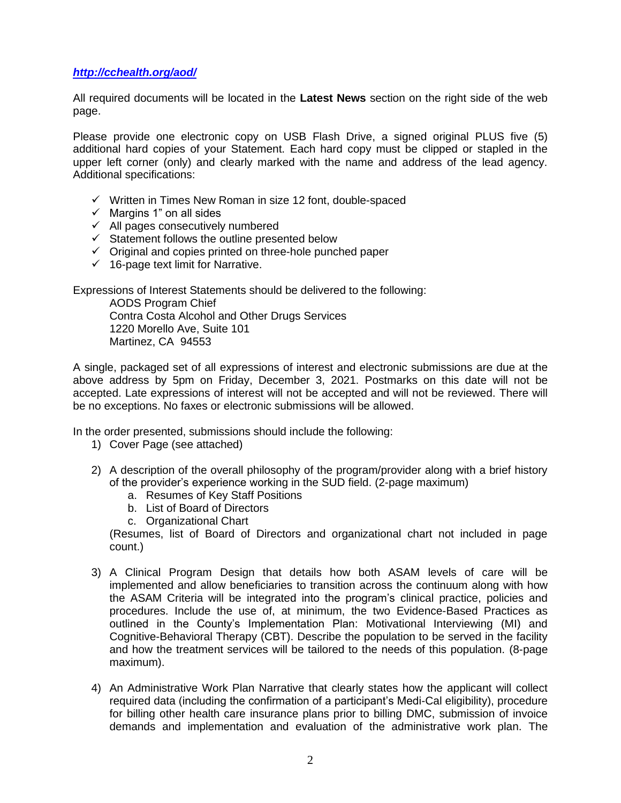# *<http://cchealth.org/aod/>*

All required documents will be located in the **Latest News** section on the right side of the web page.

Please provide one electronic copy on USB Flash Drive, a signed original PLUS five (5) additional hard copies of your Statement. Each hard copy must be clipped or stapled in the upper left corner (only) and clearly marked with the name and address of the lead agency. Additional specifications:

- ✓ Written in Times New Roman in size 12 font, double-spaced
- $\checkmark$  Margins 1" on all sides
- $\checkmark$  All pages consecutively numbered
- $\checkmark$  Statement follows the outline presented below
- ✓ Original and copies printed on three-hole punched paper
- $\checkmark$  16-page text limit for Narrative.

Expressions of Interest Statements should be delivered to the following:

AODS Program Chief Contra Costa Alcohol and Other Drugs Services 1220 Morello Ave, Suite 101 Martinez, CA 94553

A single, packaged set of all expressions of interest and electronic submissions are due at the above address by 5pm on Friday, December 3, 2021. Postmarks on this date will not be accepted. Late expressions of interest will not be accepted and will not be reviewed. There will be no exceptions. No faxes or electronic submissions will be allowed.

In the order presented, submissions should include the following:

- 1) Cover Page (see attached)
- 2) A description of the overall philosophy of the program/provider along with a brief history of the provider's experience working in the SUD field. (2-page maximum)
	- a. Resumes of Key Staff Positions
	- b. List of Board of Directors
	- c. Organizational Chart

(Resumes, list of Board of Directors and organizational chart not included in page count.)

- 3) A Clinical Program Design that details how both ASAM levels of care will be implemented and allow beneficiaries to transition across the continuum along with how the ASAM Criteria will be integrated into the program's clinical practice, policies and procedures. Include the use of, at minimum, the two Evidence-Based Practices as outlined in the County's Implementation Plan: Motivational Interviewing (MI) and Cognitive-Behavioral Therapy (CBT). Describe the population to be served in the facility and how the treatment services will be tailored to the needs of this population. (8-page maximum).
- 4) An Administrative Work Plan Narrative that clearly states how the applicant will collect required data (including the confirmation of a participant's Medi-Cal eligibility), procedure for billing other health care insurance plans prior to billing DMC, submission of invoice demands and implementation and evaluation of the administrative work plan. The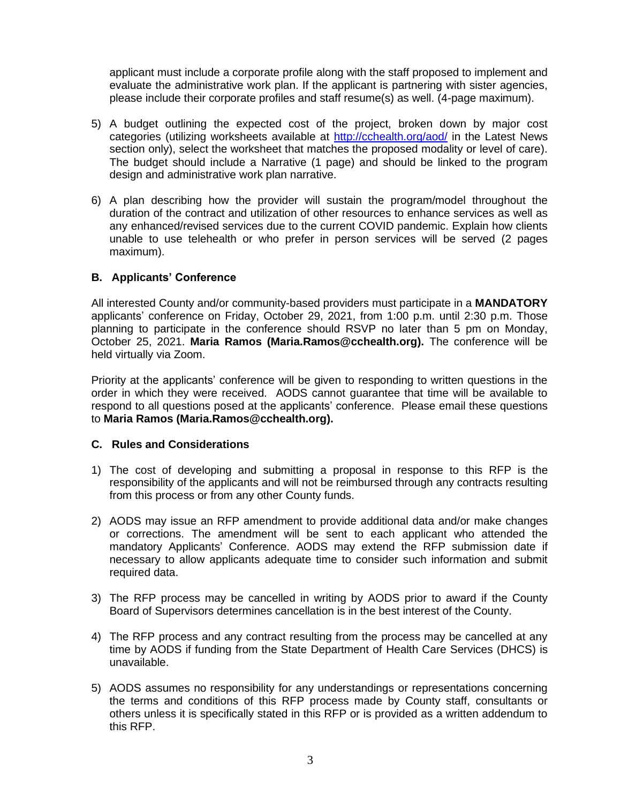applicant must include a corporate profile along with the staff proposed to implement and evaluate the administrative work plan. If the applicant is partnering with sister agencies, please include their corporate profiles and staff resume(s) as well. (4-page maximum).

- 5) A budget outlining the expected cost of the project, broken down by major cost categories (utilizing worksheets available at<http://cchealth.org/aod/> in the Latest News section only), select the worksheet that matches the proposed modality or level of care). The budget should include a Narrative (1 page) and should be linked to the program design and administrative work plan narrative.
- 6) A plan describing how the provider will sustain the program/model throughout the duration of the contract and utilization of other resources to enhance services as well as any enhanced/revised services due to the current COVID pandemic. Explain how clients unable to use telehealth or who prefer in person services will be served (2 pages maximum).

# **B. Applicants' Conference**

All interested County and/or community-based providers must participate in a **MANDATORY** applicants' conference on Friday, October 29, 2021, from 1:00 p.m. until 2:30 p.m. Those planning to participate in the conference should RSVP no later than 5 pm on Monday, October 25, 2021. **Maria Ramos (Maria.Ramos@cchealth.org).** The conference will be held virtually via Zoom.

Priority at the applicants' conference will be given to responding to written questions in the order in which they were received. AODS cannot guarantee that time will be available to respond to all questions posed at the applicants' conference. Please email these questions to **Maria Ramos (Maria.Ramos@cchealth.org).**

# **C. Rules and Considerations**

- 1) The cost of developing and submitting a proposal in response to this RFP is the responsibility of the applicants and will not be reimbursed through any contracts resulting from this process or from any other County funds.
- 2) AODS may issue an RFP amendment to provide additional data and/or make changes or corrections. The amendment will be sent to each applicant who attended the mandatory Applicants' Conference. AODS may extend the RFP submission date if necessary to allow applicants adequate time to consider such information and submit required data.
- 3) The RFP process may be cancelled in writing by AODS prior to award if the County Board of Supervisors determines cancellation is in the best interest of the County.
- 4) The RFP process and any contract resulting from the process may be cancelled at any time by AODS if funding from the State Department of Health Care Services (DHCS) is unavailable.
- 5) AODS assumes no responsibility for any understandings or representations concerning the terms and conditions of this RFP process made by County staff, consultants or others unless it is specifically stated in this RFP or is provided as a written addendum to this RFP.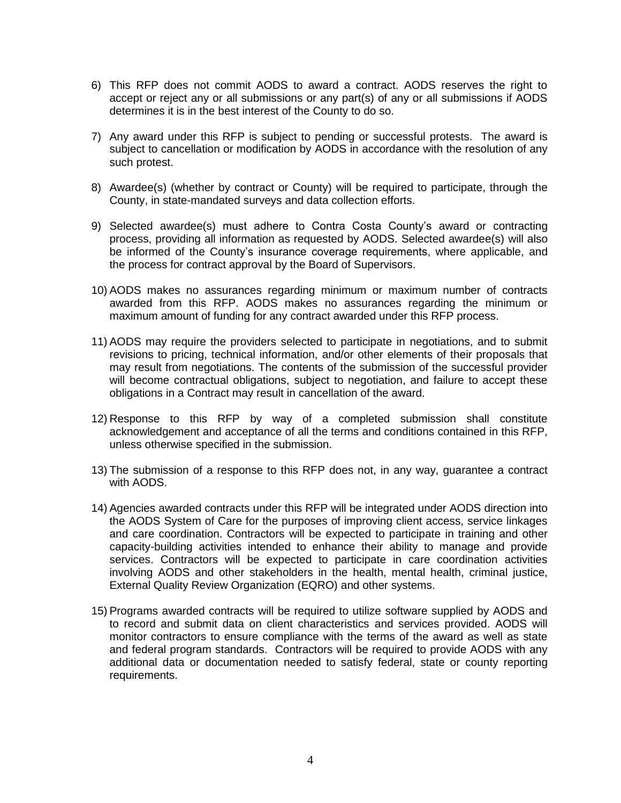- 6) This RFP does not commit AODS to award a contract. AODS reserves the right to accept or reject any or all submissions or any part(s) of any or all submissions if AODS determines it is in the best interest of the County to do so.
- 7) Any award under this RFP is subject to pending or successful protests. The award is subject to cancellation or modification by AODS in accordance with the resolution of any such protest.
- 8) Awardee(s) (whether by contract or County) will be required to participate, through the County, in state-mandated surveys and data collection efforts.
- 9) Selected awardee(s) must adhere to Contra Costa County's award or contracting process, providing all information as requested by AODS. Selected awardee(s) will also be informed of the County's insurance coverage requirements, where applicable, and the process for contract approval by the Board of Supervisors.
- 10) AODS makes no assurances regarding minimum or maximum number of contracts awarded from this RFP. AODS makes no assurances regarding the minimum or maximum amount of funding for any contract awarded under this RFP process.
- 11) AODS may require the providers selected to participate in negotiations, and to submit revisions to pricing, technical information, and/or other elements of their proposals that may result from negotiations. The contents of the submission of the successful provider will become contractual obligations, subject to negotiation, and failure to accept these obligations in a Contract may result in cancellation of the award.
- 12) Response to this RFP by way of a completed submission shall constitute acknowledgement and acceptance of all the terms and conditions contained in this RFP, unless otherwise specified in the submission.
- 13) The submission of a response to this RFP does not, in any way, guarantee a contract with AODS.
- 14) Agencies awarded contracts under this RFP will be integrated under AODS direction into the AODS System of Care for the purposes of improving client access, service linkages and care coordination. Contractors will be expected to participate in training and other capacity-building activities intended to enhance their ability to manage and provide services. Contractors will be expected to participate in care coordination activities involving AODS and other stakeholders in the health, mental health, criminal justice, External Quality Review Organization (EQRO) and other systems.
- 15) Programs awarded contracts will be required to utilize software supplied by AODS and to record and submit data on client characteristics and services provided. AODS will monitor contractors to ensure compliance with the terms of the award as well as state and federal program standards. Contractors will be required to provide AODS with any additional data or documentation needed to satisfy federal, state or county reporting requirements.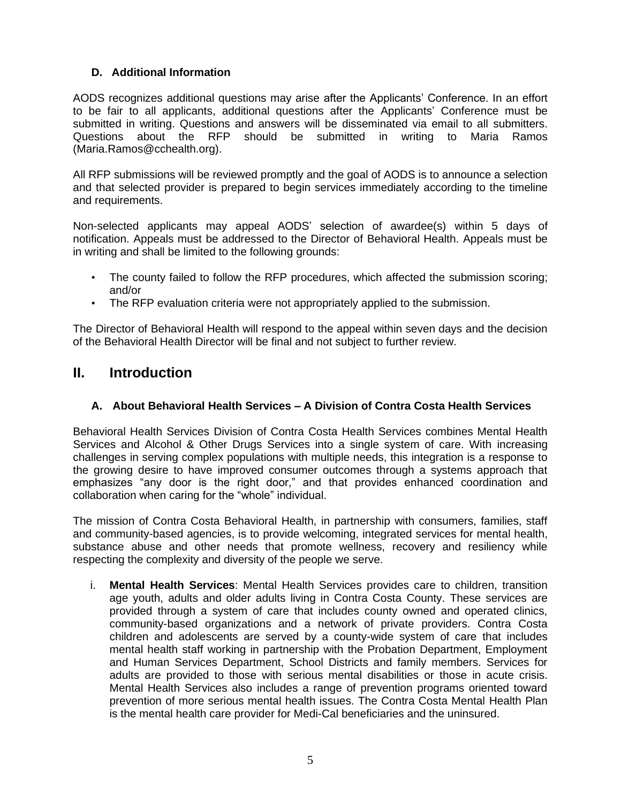# **D. Additional Information**

AODS recognizes additional questions may arise after the Applicants' Conference. In an effort to be fair to all applicants, additional questions after the Applicants' Conference must be submitted in writing. Questions and answers will be disseminated via email to all submitters. Questions about the RFP should be submitted in writing to Maria Ramos (Maria.Ramos@cchealth.org).

All RFP submissions will be reviewed promptly and the goal of AODS is to announce a selection and that selected provider is prepared to begin services immediately according to the timeline and requirements.

Non-selected applicants may appeal AODS' selection of awardee(s) within 5 days of notification. Appeals must be addressed to the Director of Behavioral Health. Appeals must be in writing and shall be limited to the following grounds:

- The county failed to follow the RFP procedures, which affected the submission scoring; and/or
- The RFP evaluation criteria were not appropriately applied to the submission.

The Director of Behavioral Health will respond to the appeal within seven days and the decision of the Behavioral Health Director will be final and not subject to further review.

# **II. Introduction**

# **A. About Behavioral Health Services – A Division of Contra Costa Health Services**

Behavioral Health Services Division of Contra Costa Health Services combines Mental Health Services and Alcohol & Other Drugs Services into a single system of care. With increasing challenges in serving complex populations with multiple needs, this integration is a response to the growing desire to have improved consumer outcomes through a systems approach that emphasizes "any door is the right door," and that provides enhanced coordination and collaboration when caring for the "whole" individual.

The mission of Contra Costa Behavioral Health, in partnership with consumers, families, staff and community-based agencies, is to provide welcoming, integrated services for mental health, substance abuse and other needs that promote wellness, recovery and resiliency while respecting the complexity and diversity of the people we serve.

i. **Mental Health Services**: Mental Health Services provides care to children, transition age youth, adults and older adults living in Contra Costa County. These services are provided through a system of care that includes county owned and operated clinics, community-based organizations and a network of private providers. Contra Costa children and adolescents are served by a county-wide system of care that includes mental health staff working in partnership with the Probation Department, Employment and Human Services Department, School Districts and family members. Services for adults are provided to those with serious mental disabilities or those in acute crisis. Mental Health Services also includes a range of prevention programs oriented toward prevention of more serious mental health issues. The Contra Costa Mental Health Plan is the mental health care provider for Medi-Cal beneficiaries and the uninsured.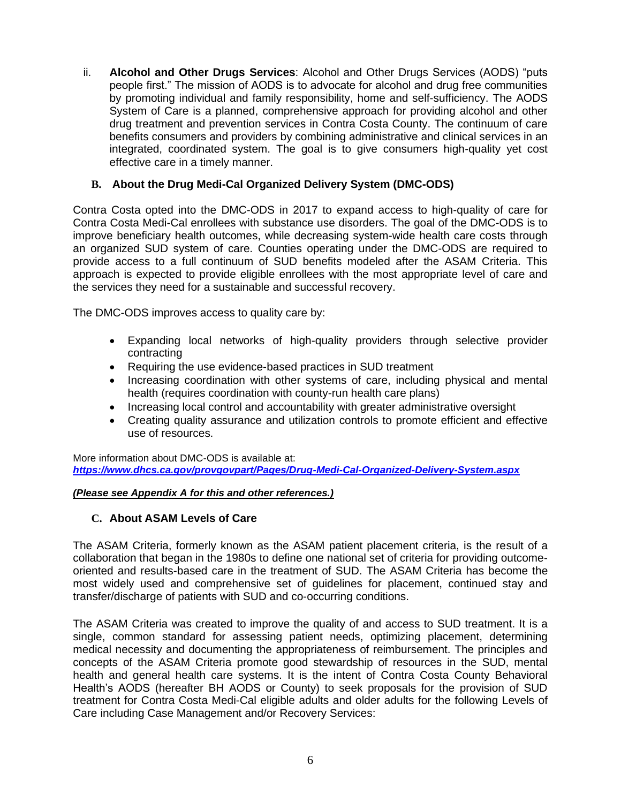ii. **Alcohol and Other Drugs Services**: Alcohol and Other Drugs Services (AODS) "puts people first." The mission of AODS is to advocate for alcohol and drug free communities by promoting individual and family responsibility, home and self-sufficiency. The AODS System of Care is a planned, comprehensive approach for providing alcohol and other drug treatment and prevention services in Contra Costa County. The continuum of care benefits consumers and providers by combining administrative and clinical services in an integrated, coordinated system. The goal is to give consumers high-quality yet cost effective care in a timely manner.

# **B. About the Drug Medi-Cal Organized Delivery System (DMC-ODS)**

Contra Costa opted into the DMC-ODS in 2017 to expand access to high-quality of care for Contra Costa Medi-Cal enrollees with substance use disorders. The goal of the DMC-ODS is to improve beneficiary health outcomes, while decreasing system-wide health care costs through an organized SUD system of care. Counties operating under the DMC-ODS are required to provide access to a full continuum of SUD benefits modeled after the ASAM Criteria. This approach is expected to provide eligible enrollees with the most appropriate level of care and the services they need for a sustainable and successful recovery.

The DMC-ODS improves access to quality care by:

- Expanding local networks of high-quality providers through selective provider contracting
- Requiring the use evidence-based practices in SUD treatment
- Increasing coordination with other systems of care, including physical and mental health (requires coordination with county-run health care plans)
- Increasing local control and accountability with greater administrative oversight
- Creating quality assurance and utilization controls to promote efficient and effective use of resources.

More information about DMC-ODS is available at: *<https://www.dhcs.ca.gov/provgovpart/Pages/Drug-Medi-Cal-Organized-Delivery-System.aspx>*

# *(Please see Appendix A for this and other references.)*

# **C. About ASAM Levels of Care**

The ASAM Criteria, formerly known as the ASAM patient placement criteria, is the result of a collaboration that began in the 1980s to define one national set of criteria for providing outcomeoriented and results-based care in the treatment of SUD. The ASAM Criteria has become the most widely used and comprehensive set of guidelines for placement, continued stay and transfer/discharge of patients with SUD and co-occurring conditions.

The ASAM Criteria was created to improve the quality of and access to SUD treatment. It is a single, common standard for assessing patient needs, optimizing placement, determining medical necessity and documenting the appropriateness of reimbursement. The principles and concepts of the ASAM Criteria promote good stewardship of resources in the SUD, mental health and general health care systems. It is the intent of Contra Costa County Behavioral Health's AODS (hereafter BH AODS or County) to seek proposals for the provision of SUD treatment for Contra Costa Medi-Cal eligible adults and older adults for the following Levels of Care including Case Management and/or Recovery Services: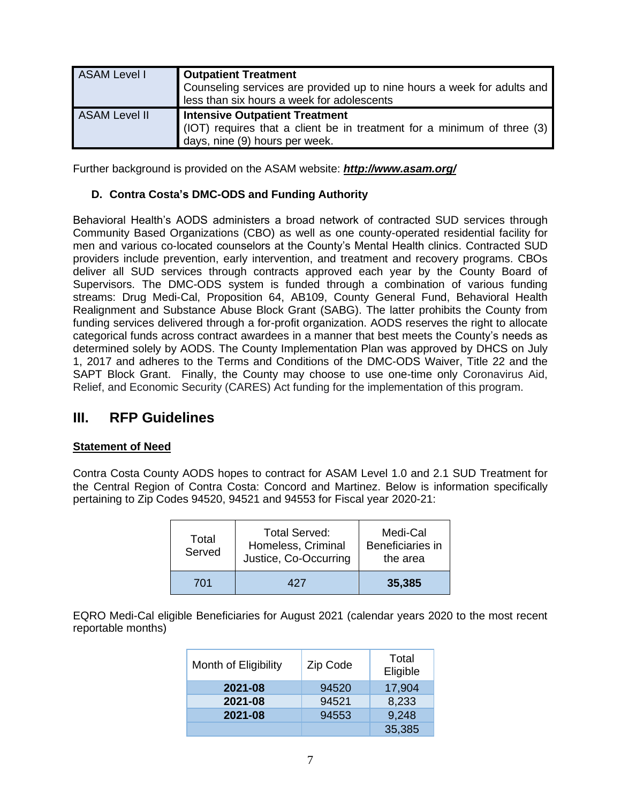| <b>ASAM Level I</b>  | <b>Outpatient Treatment</b><br>Counseling services are provided up to nine hours a week for adults and<br>less than six hours a week for adolescents |  |
|----------------------|------------------------------------------------------------------------------------------------------------------------------------------------------|--|
| <b>ASAM Level II</b> | <b>Intensive Outpatient Treatment</b><br>(IOT) requires that a client be in treatment for a minimum of three (3)<br>days, nine (9) hours per week.   |  |

Further background is provided on the ASAM website: *http://www.asam.org/*

# **D. Contra Costa's DMC-ODS and Funding Authority**

Behavioral Health's AODS administers a broad network of contracted SUD services through Community Based Organizations (CBO) as well as one county-operated residential facility for men and various co-located counselors at the County's Mental Health clinics. Contracted SUD providers include prevention, early intervention, and treatment and recovery programs. CBOs deliver all SUD services through contracts approved each year by the County Board of Supervisors. The DMC-ODS system is funded through a combination of various funding streams: Drug Medi-Cal, Proposition 64, AB109, County General Fund, Behavioral Health Realignment and Substance Abuse Block Grant (SABG). The latter prohibits the County from funding services delivered through a for-profit organization. AODS reserves the right to allocate categorical funds across contract awardees in a manner that best meets the County's needs as determined solely by AODS. The County Implementation Plan was approved by DHCS on July 1, 2017 and adheres to the Terms and Conditions of the DMC-ODS Waiver, Title 22 and the SAPT Block Grant. Finally, the County may choose to use one-time only Coronavirus Aid, Relief, and Economic Security (CARES) Act funding for the implementation of this program.

# **III. RFP Guidelines**

# **Statement of Need**

Contra Costa County AODS hopes to contract for ASAM Level 1.0 and 2.1 SUD Treatment for the Central Region of Contra Costa: Concord and Martinez. Below is information specifically pertaining to Zip Codes 94520, 94521 and 94553 for Fiscal year 2020-21:

| Total<br>Served | <b>Total Served:</b><br>Homeless, Criminal<br>Justice, Co-Occurring | Medi-Cal<br>Beneficiaries in<br>the area |
|-----------------|---------------------------------------------------------------------|------------------------------------------|
| 701             | 427                                                                 | 35,385                                   |

EQRO Medi-Cal eligible Beneficiaries for August 2021 (calendar years 2020 to the most recent reportable months)

| Month of Eligibility | Zip Code | Total<br>Eligible |
|----------------------|----------|-------------------|
| 2021-08              | 94520    | 17,904            |
| 2021-08              | 94521    | 8,233             |
| 2021-08              | 94553    | 9,248             |
|                      |          | 35,385            |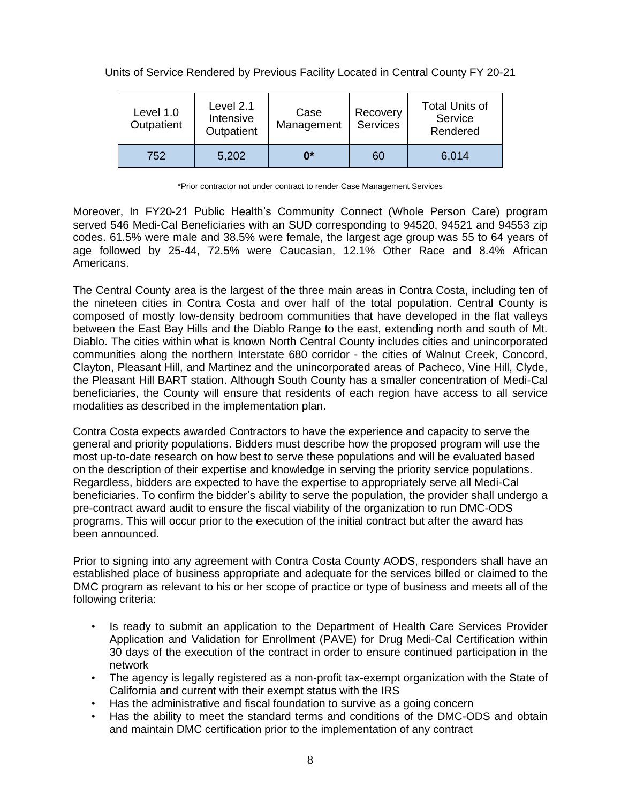# Units of Service Rendered by Previous Facility Located in Central County FY 20-21

| Level 1.0<br>Outpatient | Level 2.1<br>Intensive<br>Outpatient | Case<br>Management | Recovery<br><b>Services</b> | <b>Total Units of</b><br>Service<br>Rendered |
|-------------------------|--------------------------------------|--------------------|-----------------------------|----------------------------------------------|
| 752                     | 5,202                                | 0*                 | 60                          | 6,014                                        |

\*Prior contractor not under contract to render Case Management Services

Moreover, In FY20-21 Public Health's Community Connect (Whole Person Care) program served 546 Medi-Cal Beneficiaries with an SUD corresponding to 94520, 94521 and 94553 zip codes. 61.5% were male and 38.5% were female, the largest age group was 55 to 64 years of age followed by 25-44, 72.5% were Caucasian, 12.1% Other Race and 8.4% African Americans.

The Central County area is the largest of the three main areas in Contra Costa, including ten of the nineteen cities in Contra Costa and over half of the total population. Central County is composed of mostly low-density bedroom communities that have developed in the flat valleys between the East Bay Hills and the Diablo Range to the east, extending north and south of Mt. Diablo. The cities within what is known North Central County includes cities and unincorporated communities along the northern Interstate 680 corridor - the cities of Walnut Creek, Concord, Clayton, Pleasant Hill, and Martinez and the unincorporated areas of Pacheco, Vine Hill, Clyde, the Pleasant Hill BART station. Although South County has a smaller concentration of Medi-Cal beneficiaries, the County will ensure that residents of each region have access to all service modalities as described in the implementation plan.

Contra Costa expects awarded Contractors to have the experience and capacity to serve the general and priority populations. Bidders must describe how the proposed program will use the most up-to-date research on how best to serve these populations and will be evaluated based on the description of their expertise and knowledge in serving the priority service populations. Regardless, bidders are expected to have the expertise to appropriately serve all Medi-Cal beneficiaries. To confirm the bidder's ability to serve the population, the provider shall undergo a pre-contract award audit to ensure the fiscal viability of the organization to run DMC-ODS programs. This will occur prior to the execution of the initial contract but after the award has been announced.

Prior to signing into any agreement with Contra Costa County AODS, responders shall have an established place of business appropriate and adequate for the services billed or claimed to the DMC program as relevant to his or her scope of practice or type of business and meets all of the following criteria:

- Is ready to submit an application to the Department of Health Care Services Provider Application and Validation for Enrollment (PAVE) for Drug Medi-Cal Certification within 30 days of the execution of the contract in order to ensure continued participation in the network
- The agency is legally registered as a non-profit tax-exempt organization with the State of California and current with their exempt status with the IRS
- Has the administrative and fiscal foundation to survive as a going concern
- Has the ability to meet the standard terms and conditions of the DMC-ODS and obtain and maintain DMC certification prior to the implementation of any contract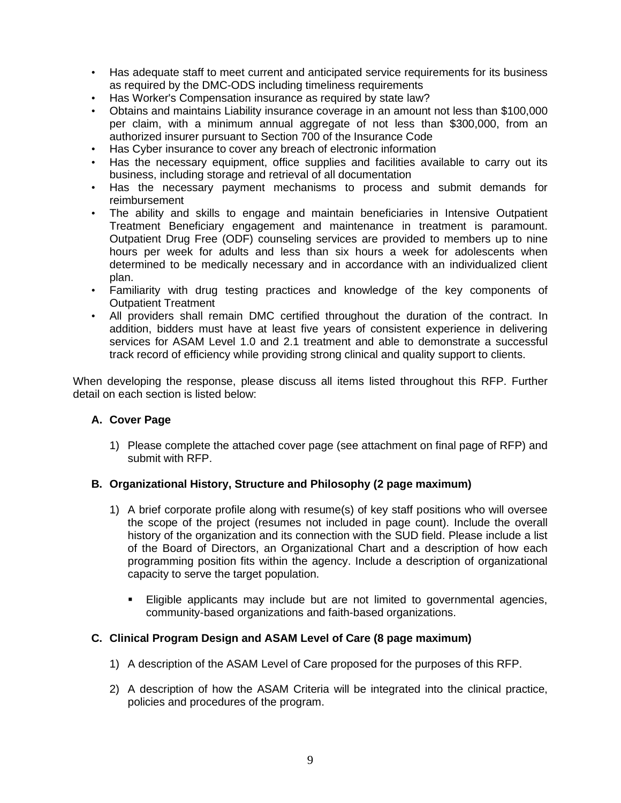- Has adequate staff to meet current and anticipated service requirements for its business as required by the DMC-ODS including timeliness requirements
- Has Worker's Compensation insurance as required by state law?
- Obtains and maintains Liability insurance coverage in an amount not less than \$100,000 per claim, with a minimum annual aggregate of not less than \$300,000, from an authorized insurer pursuant to Section 700 of the Insurance Code
- Has Cyber insurance to cover any breach of electronic information
- Has the necessary equipment, office supplies and facilities available to carry out its business, including storage and retrieval of all documentation
- Has the necessary payment mechanisms to process and submit demands for reimbursement
- The ability and skills to engage and maintain beneficiaries in Intensive Outpatient Treatment Beneficiary engagement and maintenance in treatment is paramount. Outpatient Drug Free (ODF) counseling services are provided to members up to nine hours per week for adults and less than six hours a week for adolescents when determined to be medically necessary and in accordance with an individualized client plan.
- Familiarity with drug testing practices and knowledge of the key components of Outpatient Treatment
- All providers shall remain DMC certified throughout the duration of the contract. In addition, bidders must have at least five years of consistent experience in delivering services for ASAM Level 1.0 and 2.1 treatment and able to demonstrate a successful track record of efficiency while providing strong clinical and quality support to clients.

When developing the response, please discuss all items listed throughout this RFP. Further detail on each section is listed below:

# **A. Cover Page**

1) Please complete the attached cover page (see attachment on final page of RFP) and submit with RFP.

#### **B. Organizational History, Structure and Philosophy (2 page maximum)**

- 1) A brief corporate profile along with resume(s) of key staff positions who will oversee the scope of the project (resumes not included in page count). Include the overall history of the organization and its connection with the SUD field. Please include a list of the Board of Directors, an Organizational Chart and a description of how each programming position fits within the agency. Include a description of organizational capacity to serve the target population.
	- **Eligible applicants may include but are not limited to governmental agencies,** community-based organizations and faith-based organizations.

#### **C. Clinical Program Design and ASAM Level of Care (8 page maximum)**

- 1) A description of the ASAM Level of Care proposed for the purposes of this RFP.
- 2) A description of how the ASAM Criteria will be integrated into the clinical practice, policies and procedures of the program.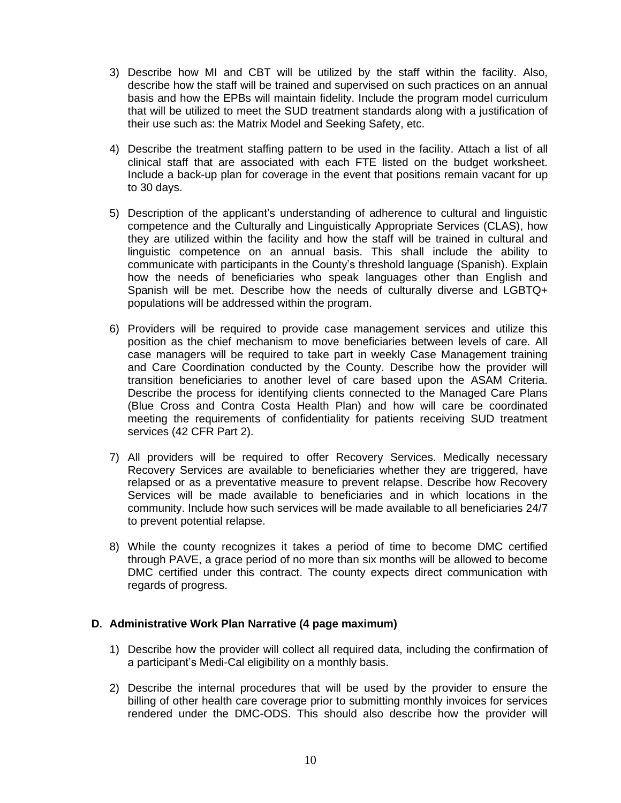- 3) Describe how MI and CBT will be utilized by the staff within the facility. Also, describe how the staff will be trained and supervised on such practices on an annual basis and how the EPBs will maintain fidelity. Include the program model curriculum that will be utilized to meet the SUD treatment standards along with a justification of their use such as: the Matrix Model and Seeking Safety, etc.
- 4) Describe the treatment staffing pattern to be used in the facility. Attach a list of all clinical staff that are associated with each FTE listed on the budget worksheet. Include a back-up plan for coverage in the event that positions remain vacant for up to 30 days.
- 5) Description of the applicant's understanding of adherence to cultural and linguistic competence and the Culturally and Linguistically Appropriate Services (CLAS), how they are utilized within the facility and how the staff will be trained in cultural and linguistic competence on an annual basis. This shall include the ability to communicate with participants in the County's threshold language (Spanish). Explain how the needs of beneficiaries who speak languages other than English and Spanish will be met. Describe how the needs of culturally diverse and LGBTQ+ populations will be addressed within the program.
- 6) Providers will be required to provide case management services and utilize this position as the chief mechanism to move beneficiaries between levels of care. All case managers will be required to take part in weekly Case Management training and Care Coordination conducted by the County. Describe how the provider will transition beneficiaries to another level of care based upon the ASAM Criteria. Describe the process for identifying clients connected to the Managed Care Plans (Blue Cross and Contra Costa Health Plan) and how will care be coordinated meeting the requirements of confidentiality for patients receiving SUD treatment services (42 CFR Part 2).
- 7) All providers will be required to offer Recovery Services. Medically necessary Recovery Services are available to beneficiaries whether they are triggered, have relapsed or as a preventative measure to prevent relapse. Describe how Recovery Services will be made available to beneficiaries and in which locations in the community. Include how such services will be made available to all beneficiaries 24/7 to prevent potential relapse.
- 8) While the county recognizes it takes a period of time to become DMC certified through PAVE, a grace period of no more than six months will be allowed to become DMC certified under this contract. The county expects direct communication with regards of progress.

# **D. Administrative Work Plan Narrative (4 page maximum)**

- 1) Describe how the provider will collect all required data, including the confirmation of a participant's Medi-Cal eligibility on a monthly basis.
- 2) Describe the internal procedures that will be used by the provider to ensure the billing of other health care coverage prior to submitting monthly invoices for services rendered under the DMC-ODS. This should also describe how the provider will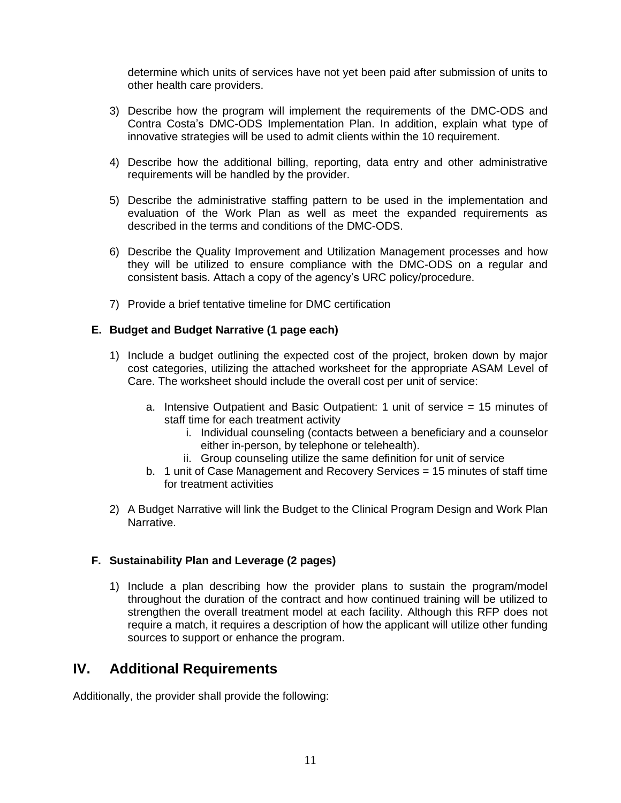determine which units of services have not yet been paid after submission of units to other health care providers.

- 3) Describe how the program will implement the requirements of the DMC-ODS and Contra Costa's DMC-ODS Implementation Plan. In addition, explain what type of innovative strategies will be used to admit clients within the 10 requirement.
- 4) Describe how the additional billing, reporting, data entry and other administrative requirements will be handled by the provider.
- 5) Describe the administrative staffing pattern to be used in the implementation and evaluation of the Work Plan as well as meet the expanded requirements as described in the terms and conditions of the DMC-ODS.
- 6) Describe the Quality Improvement and Utilization Management processes and how they will be utilized to ensure compliance with the DMC-ODS on a regular and consistent basis. Attach a copy of the agency's URC policy/procedure.
- 7) Provide a brief tentative timeline for DMC certification

# **E. Budget and Budget Narrative (1 page each)**

- 1) Include a budget outlining the expected cost of the project, broken down by major cost categories, utilizing the attached worksheet for the appropriate ASAM Level of Care. The worksheet should include the overall cost per unit of service:
	- a. Intensive Outpatient and Basic Outpatient: 1 unit of service = 15 minutes of staff time for each treatment activity
		- i. Individual counseling (contacts between a beneficiary and a counselor either in-person, by telephone or telehealth).
		- ii. Group counseling utilize the same definition for unit of service
	- b. 1 unit of Case Management and Recovery Services = 15 minutes of staff time for treatment activities
- 2) A Budget Narrative will link the Budget to the Clinical Program Design and Work Plan Narrative.

# **F. Sustainability Plan and Leverage (2 pages)**

1) Include a plan describing how the provider plans to sustain the program/model throughout the duration of the contract and how continued training will be utilized to strengthen the overall treatment model at each facility. Although this RFP does not require a match, it requires a description of how the applicant will utilize other funding sources to support or enhance the program.

# **IV. Additional Requirements**

Additionally, the provider shall provide the following: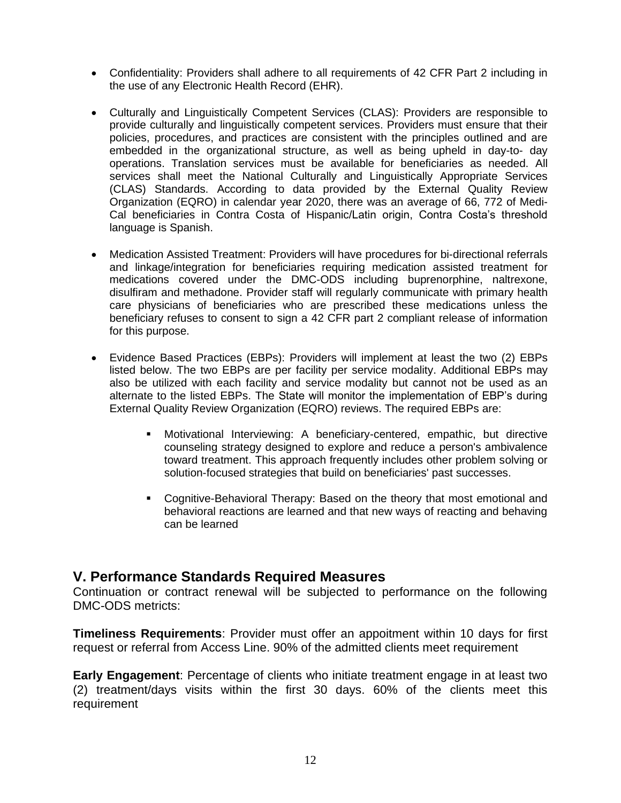- Confidentiality: Providers shall adhere to all requirements of 42 CFR Part 2 including in the use of any Electronic Health Record (EHR).
- Culturally and Linguistically Competent Services (CLAS): Providers are responsible to provide culturally and linguistically competent services. Providers must ensure that their policies, procedures, and practices are consistent with the principles outlined and are embedded in the organizational structure, as well as being upheld in day-to- day operations. Translation services must be available for beneficiaries as needed. All services shall meet the National Culturally and Linguistically Appropriate Services (CLAS) Standards. According to data provided by the External Quality Review Organization (EQRO) in calendar year 2020, there was an average of 66, 772 of Medi-Cal beneficiaries in Contra Costa of Hispanic/Latin origin, Contra Costa's threshold language is Spanish.
- Medication Assisted Treatment: Providers will have procedures for bi-directional referrals and linkage/integration for beneficiaries requiring medication assisted treatment for medications covered under the DMC-ODS including buprenorphine, naltrexone, disulfiram and methadone. Provider staff will regularly communicate with primary health care physicians of beneficiaries who are prescribed these medications unless the beneficiary refuses to consent to sign a 42 CFR part 2 compliant release of information for this purpose.
- Evidence Based Practices (EBPs): Providers will implement at least the two (2) EBPs listed below. The two EBPs are per facility per service modality. Additional EBPs may also be utilized with each facility and service modality but cannot not be used as an alternate to the listed EBPs. The State will monitor the implementation of EBP's during External Quality Review Organization (EQRO) reviews. The required EBPs are:
	- **■** Motivational Interviewing: A beneficiary-centered, empathic, but directive counseling strategy designed to explore and reduce a person's ambivalence toward treatment. This approach frequently includes other problem solving or solution-focused strategies that build on beneficiaries' past successes.
	- Cognitive-Behavioral Therapy: Based on the theory that most emotional and behavioral reactions are learned and that new ways of reacting and behaving can be learned

# **V. Performance Standards Required Measures**

Continuation or contract renewal will be subjected to performance on the following DMC-ODS metricts:

**Timeliness Requirements**: Provider must offer an appoitment within 10 days for first request or referral from Access Line. 90% of the admitted clients meet requirement

**Early Engagement**: Percentage of clients who initiate treatment engage in at least two (2) treatment/days visits within the first 30 days. 60% of the clients meet this requirement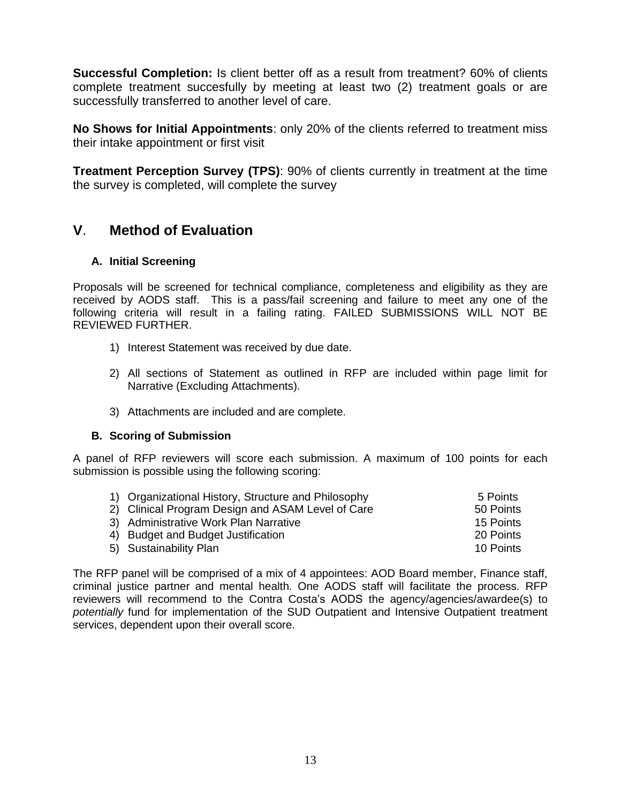**Successful Completion:** Is client better off as a result from treatment? 60% of clients complete treatment succesfully by meeting at least two (2) treatment goals or are successfully transferred to another level of care.

**No Shows for Initial Appointments**: only 20% of the clients referred to treatment miss their intake appointment or first visit

**Treatment Perception Survey (TPS)**: 90% of clients currently in treatment at the time the survey is completed, will complete the survey

# **V**. **Method of Evaluation**

# **A. Initial Screening**

Proposals will be screened for technical compliance, completeness and eligibility as they are received by AODS staff. This is a pass/fail screening and failure to meet any one of the following criteria will result in a failing rating. FAILED SUBMISSIONS WILL NOT BE REVIEWED FURTHER.

- 1) Interest Statement was received by due date.
- 2) All sections of Statement as outlined in RFP are included within page limit for Narrative (Excluding Attachments).
- 3) Attachments are included and are complete.

# **B. Scoring of Submission**

A panel of RFP reviewers will score each submission. A maximum of 100 points for each submission is possible using the following scoring:

| 1) Organizational History, Structure and Philosophy | 5 Points  |
|-----------------------------------------------------|-----------|
| 2) Clinical Program Design and ASAM Level of Care   | 50 Points |
| 3) Administrative Work Plan Narrative               | 15 Points |
| 4) Budget and Budget Justification                  | 20 Points |
| 5) Sustainability Plan                              | 10 Points |

The RFP panel will be comprised of a mix of 4 appointees: AOD Board member, Finance staff, criminal justice partner and mental health. One AODS staff will facilitate the process. RFP reviewers will recommend to the Contra Costa's AODS the agency/agencies/awardee(s) to *potentially* fund for implementation of the SUD Outpatient and Intensive Outpatient treatment services, dependent upon their overall score.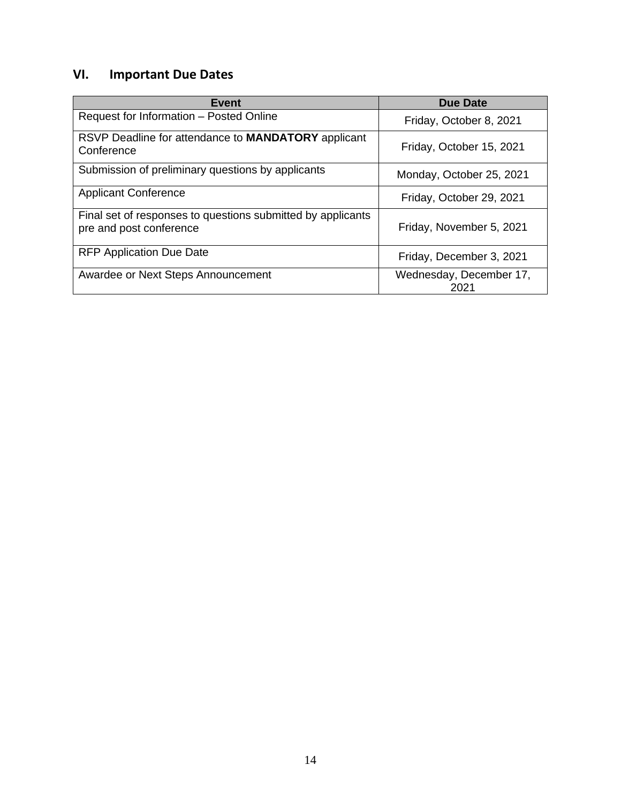# **VI. Important Due Dates**

| <b>Event</b>                                                                           | <b>Due Date</b>                 |
|----------------------------------------------------------------------------------------|---------------------------------|
| Request for Information - Posted Online                                                | Friday, October 8, 2021         |
| RSVP Deadline for attendance to <b>MANDATORY</b> applicant<br>Conference               | Friday, October 15, 2021        |
| Submission of preliminary questions by applicants                                      | Monday, October 25, 2021        |
| <b>Applicant Conference</b>                                                            | Friday, October 29, 2021        |
| Final set of responses to questions submitted by applicants<br>pre and post conference | Friday, November 5, 2021        |
| <b>RFP Application Due Date</b>                                                        | Friday, December 3, 2021        |
| Awardee or Next Steps Announcement                                                     | Wednesday, December 17,<br>2021 |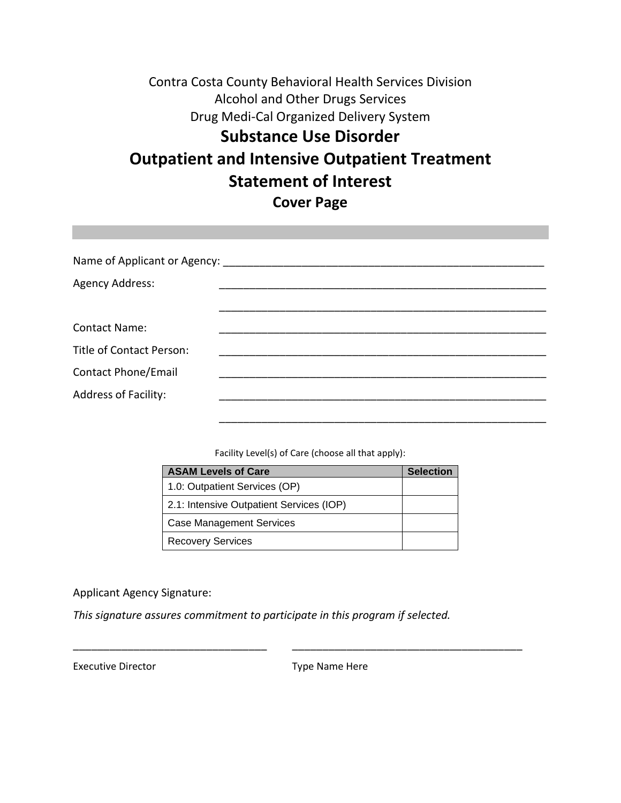# Contra Costa County Behavioral Health Services Division Alcohol and Other Drugs Services Drug Medi-Cal Organized Delivery System **Substance Use Disorder Outpatient and Intensive Outpatient Treatment Statement of Interest Cover Page**

| Agency Address:             |  |
|-----------------------------|--|
|                             |  |
| <b>Contact Name:</b>        |  |
| Title of Contact Person:    |  |
| <b>Contact Phone/Email</b>  |  |
| <b>Address of Facility:</b> |  |
|                             |  |

Facility Level(s) of Care (choose all that apply):

| <b>ASAM Levels of Care</b>               | <b>Selection</b> |
|------------------------------------------|------------------|
| 1.0: Outpatient Services (OP)            |                  |
| 2.1: Intensive Outpatient Services (IOP) |                  |
| <b>Case Management Services</b>          |                  |
| <b>Recovery Services</b>                 |                  |

#### Applicant Agency Signature:

*This signature assures commitment to participate in this program if selected.*

Executive Director **Type Name Here** 

\_\_\_\_\_\_\_\_\_\_\_\_\_\_\_\_\_\_\_\_\_\_\_\_\_\_\_\_\_\_\_\_ \_\_\_\_\_\_\_\_\_\_\_\_\_\_\_\_\_\_\_\_\_\_\_\_\_\_\_\_\_\_\_\_\_\_\_\_\_\_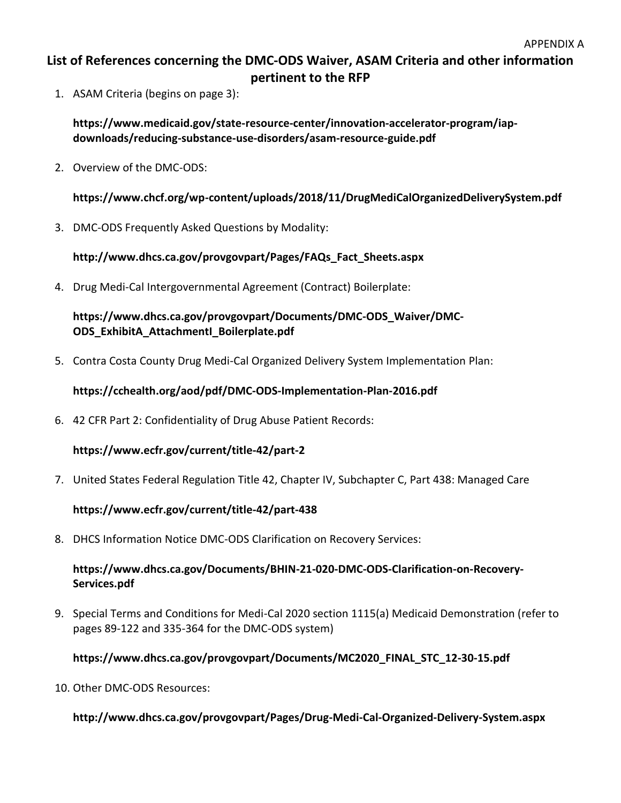# **List of References concerning the DMC-ODS Waiver, ASAM Criteria and other information pertinent to the RFP**

1. ASAM Criteria (begins on page 3):

**https://www.medicaid.gov/state-resource-center/innovation-accelerator-program/iapdownloads/reducing-substance-use-disorders/asam-resource-guide.pdf**

2. Overview of the DMC-ODS:

**https://www.chcf.org/wp-content/uploads/2018/11/DrugMediCalOrganizedDeliverySystem.pdf**

3. DMC-ODS Frequently Asked Questions by Modality:

**http://www.dhcs.ca.gov/provgovpart/Pages/FAQs\_Fact\_Sheets.aspx**

4. Drug Medi-Cal Intergovernmental Agreement (Contract) Boilerplate:

**https://www.dhcs.ca.gov/provgovpart/Documents/DMC-ODS\_Waiver/DMC-ODS\_ExhibitA\_AttachmentI\_Boilerplate.pdf**

5. Contra Costa County Drug Medi-Cal Organized Delivery System Implementation Plan:

**https://cchealth.org/aod/pdf/DMC-ODS-Implementation-Plan-2016.pdf**

6. 42 CFR Part 2: Confidentiality of Drug Abuse Patient Records:

**https://www.ecfr.gov/current/title-42/part-2**

7. United States Federal Regulation Title 42, Chapter IV, Subchapter C, Part 438: Managed Care

# **https://www.ecfr.gov/current/title-42/part-438**

8. DHCS Information Notice DMC-ODS Clarification on Recovery Services:

# **https://www.dhcs.ca.gov/Documents/BHIN-21-020-DMC-ODS-Clarification-on-Recovery-Services.pdf**

9. Special Terms and Conditions for Medi-Cal 2020 section 1115(a) Medicaid Demonstration (refer to pages 89-122 and 335-364 for the DMC-ODS system)

# **https://www.dhcs.ca.gov/provgovpart/Documents/MC2020\_FINAL\_STC\_12-30-15.pdf**

10. Other DMC-ODS Resources:

# **http://www.dhcs.ca.gov/provgovpart/Pages/Drug-Medi-Cal-Organized-Delivery-System.aspx**